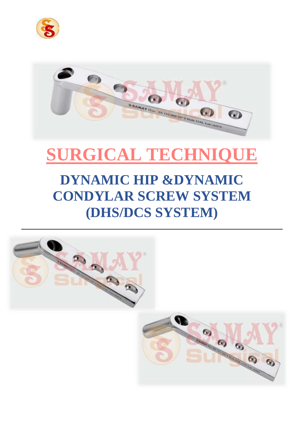



# **SURGICAL TECHNIQUE**

# **DYNAMIC HIP &DYNAMIC CONDYLAR SCREW SYSTEM (DHS/DCS SYSTEM)**

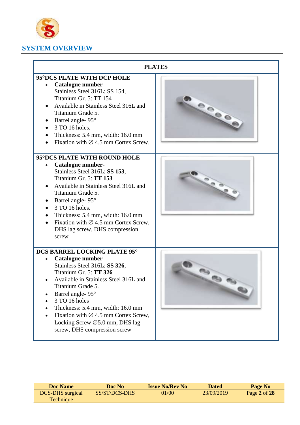

# **SYSTEM OVERVIEW**

|                                                                                                                                                                                                                                                                                                                                                                                                                                                                                                                                                                                                                                                                                                                     | <b>PLATES</b> |
|---------------------------------------------------------------------------------------------------------------------------------------------------------------------------------------------------------------------------------------------------------------------------------------------------------------------------------------------------------------------------------------------------------------------------------------------------------------------------------------------------------------------------------------------------------------------------------------------------------------------------------------------------------------------------------------------------------------------|---------------|
| 95°DCS PLATE WITH DCP HOLE<br>Catalogue number-<br>Stainless Steel 316L: SS 154,<br>Titanium Gr. 5: TT 154<br>Available in Stainless Steel 316L and<br>$\bullet$<br>Titanium Grade 5.<br>Barrel angle- 95°<br>٠<br>3 TO 16 holes.<br>Thickness: 5.4 mm, width: 16.0 mm<br>Fixation with $\varnothing$ 4.5 mm Cortex Screw.<br>95°DCS PLATE WITH ROUND HOLE<br><b>Catalogue number-</b><br>Stainless Steel 316L: SS 153,<br>Titanium Gr. 5: TT 153<br>Available in Stainless Steel 316L and<br>Titanium Grade 5.<br>Barrel angle-95°<br>3 TO 16 holes.<br>Thickness: 5.4 mm, width: 16.0 mm<br>$\bullet$<br>Fixation with $\varnothing$ 4.5 mm Cortex Screw,<br>$\bullet$<br>DHS lag screw, DHS compression<br>screw |               |
| DCS BARREL LOCKING PLATE 95°<br><b>Catalogue number-</b><br>Stainless Steel 316L: SS 326,<br>Titanium Gr. 5: TT 326<br>Available in Stainless Steel 316L and<br>Titanium Grade 5.<br>Barrel angle- 95°<br>$\bullet$<br>3 TO 16 holes<br>Thickness: 5.4 mm, width: 16.0 mm<br>Fixation with $\varnothing$ 4.5 mm Cortex Screw,<br>Locking Screw $\varnothing$ 5.0 mm, DHS lag<br>screw, DHS compression screw                                                                                                                                                                                                                                                                                                        |               |

| <b>Doc Name</b>         | Doc No        | <b>Issue No/Rev No</b> | Dated      | Page No      |
|-------------------------|---------------|------------------------|------------|--------------|
| <b>DCS-DHS</b> surgical | SS/ST/DCS-DHS | 01/00'                 | 23/09/2019 | Page 2 of 28 |
| Technique               |               |                        |            |              |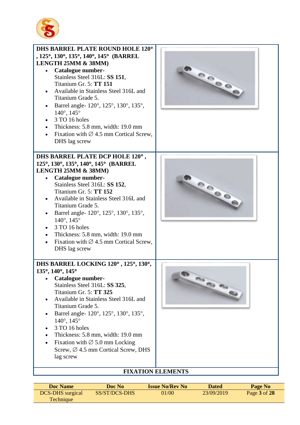



#### **Doc Name Doc No Issue No/Rev No Dated Page No** DCS-DHS surgical Technique SS/ST/DCS-DHS 01/00 23/09/2019 Page **3** of **28**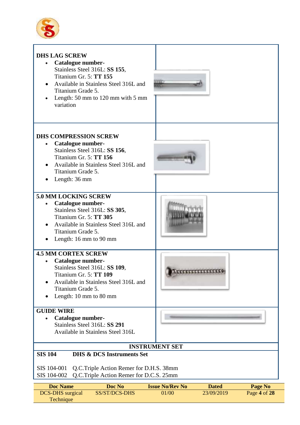



| <b>Doc Name</b>         | Doc No        | <b>Issue No/Rev No</b> | <b>Dated</b> | Page No        |
|-------------------------|---------------|------------------------|--------------|----------------|
| <b>DCS-DHS</b> surgical | SS/ST/DCS-DHS | 01/00                  | 23/09/2019   | Page 4 of $28$ |
| <b>Technique</b>        |               |                        |              |                |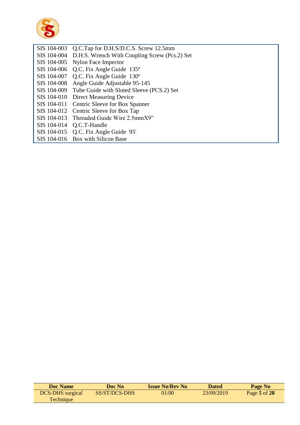

| Q.C.Tap for D.H.S/D.C.S. Screw 12.5mm                     |
|-----------------------------------------------------------|
| SIS 104-004 D.H.S. Wrench With Coupling Screw (Pcs.2) Set |
| SIS 104-005 Nylon Face Impector                           |
| SIS 104-006 Q.C. Fix Angle Guide 135°                     |
| SIS 104-007 Q.C. Fix Angle Guide 130°                     |
| SIS 104-008 Angle Guide Adjustable 95-145                 |
| SIS 104-009 Tube Guide with Sloted Sleeve (PCS.2) Set     |
| SIS 104-010 Direct Measuring Device                       |
| SIS 104-011 Centric Sleeve for Box Spanner                |
| SIS 104-012 Centric Sleeve for Box Tap                    |
| SIS 104-013 Threaded Guide Wire 2.5mmX9"                  |
| SIS 104-014 Q.C.T-Handle                                  |
| SIS 104-015 Q.C. Fix Angle Guide 95'                      |
| SIS 104-016 Box with Silicon Base                         |
|                                                           |

| <b>Doc</b> Name         | Doc No        | <b>Issue No/Rev No</b> | <b>Dated</b> | Page No          |
|-------------------------|---------------|------------------------|--------------|------------------|
| <b>DCS-DHS</b> surgical | SS/ST/DCS-DHS | 01/00                  | 23/09/2019   | Page $5$ of $28$ |
| <b>Technique</b>        |               |                        |              |                  |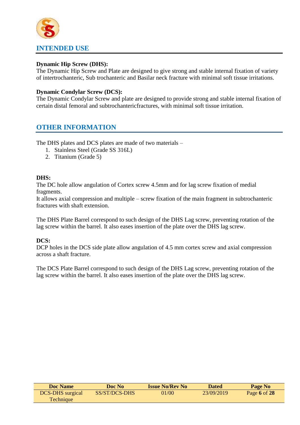# **INTENDED USE**

#### **Dynamic Hip Screw (DHS):**

The Dynamic Hip Screw and Plate are designed to give strong and stable internal fixation of variety of intertrochanteric, Sub trochanteric and Basilar neck fracture with minimal soft tissue irritations.

#### **Dynamic Condylar Screw (DCS):**

The Dynamic Condylar Screw and plate are designed to provide strong and stable internal fixation of certain distal femoral and subtrochantericfractures, with minimal soft tissue irritation.

## **OTHER INFORMATION**

The DHS plates and DCS plates are made of two materials –

- 1. Stainless Steel (Grade SS 316L)
- 2. Titanium (Grade 5)

#### **DHS:**

The DC hole allow angulation of Cortex screw 4.5mm and for lag screw fixation of medial fragments.

It allows axial compression and multiple – screw fixation of the main fragment in subtrochanteric fractures with shaft extension.

The DHS Plate Barrel correspond to such design of the DHS Lag screw, preventing rotation of the lag screw within the barrel. It also eases insertion of the plate over the DHS lag screw.

#### **DCS:**

DCP holes in the DCS side plate allow angulation of 4.5 mm cortex screw and axial compression across a shaft fracture.

The DCS Plate Barrel correspond to such design of the DHS Lag screw, preventing rotation of the lag screw within the barrel. It also eases insertion of the plate over the DHS lag screw.

| <b>Doc Name</b>         | Doc No        | <b>Issue No/Rev No</b> | <b>Dated</b> | Page No      |
|-------------------------|---------------|------------------------|--------------|--------------|
| <b>DCS-DHS</b> surgical | SS/ST/DCS-DHS | 01/00                  | 23/09/2019   | Page 6 of 28 |
| <b>Technique</b>        |               |                        |              |              |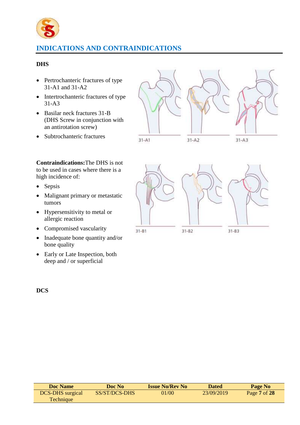

# **INDICATIONS AND CONTRAINDICATIONS**

#### **DHS**

- Pertrochanteric fractures of type 31-A1 and 31-A2
- Intertrochanteric fractures of type 31-A3
- Basilar neck fractures 31-B (DHS Screw in conjunction with an antirotation screw)
- Subtrochanteric fractures



**Contraindications:**The DHS is not to be used in cases where there is a high incidence of:

- Sepsis
- Malignant primary or metastatic tumors
- Hypersensitivity to metal or allergic reaction
- Compromised vascularity
- Inadequate bone quantity and/or bone quality
- Early or Late Inspection, both deep and / or superficial



**DCS**

| <b>Doc Name</b>         | Doc No        | <b>Issue No/Rev No</b> | Dated      | Page No      |  |
|-------------------------|---------------|------------------------|------------|--------------|--|
| <b>DCS-DHS</b> surgical | SS/ST/DCS-DHS | 01/00                  | 23/09/2019 | Page 7 of 28 |  |
| Technique               |               |                        |            |              |  |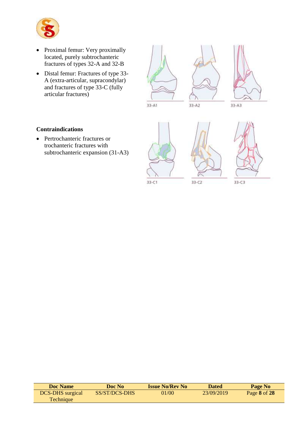

- Proximal femur: Very proximally located, purely subtrochanteric fractures of types 32-A and 32-B
- Distal femur: Fractures of type 33- A (extra-articular, supracondylar) and fractures of type 33-C (fully articular fractures)



 $33 - A1$ 





#### **Contraindications**

• Pertrochanteric fractures or trochanteric fractures with subtrochanteric expansion (31-A3)





 $33 - C3$ 

| <b>Doc Name</b>         | Doc No        | <b>Issue No/Rev No</b> | <b>Dated</b> | Page No      |
|-------------------------|---------------|------------------------|--------------|--------------|
| <b>DCS-DHS</b> surgical | SS/ST/DCS-DHS | 01/00                  | 23/09/2019   | Page 8 of 28 |
| <b>Technique</b>        |               |                        |              |              |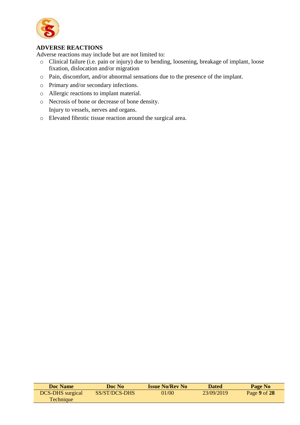

#### **ADVERSE REACTIONS**

Adverse reactions may include but are not limited to:

- o Clinical failure (i.e. pain or injury) due to bending, loosening, breakage of implant, loose fixation, dislocation and/or migration
- o Pain, discomfort, and/or abnormal sensations due to the presence of the implant.
- o Primary and/or secondary infections.
- o Allergic reactions to implant material.
- o Necrosis of bone or decrease of bone density. Injury to vessels, nerves and organs.
- o Elevated fibrotic tissue reaction around the surgical area.

| <b>Doc Name</b>         | Doc No        | <b>Issue No/Rev No</b> | Dated      | Page No      |
|-------------------------|---------------|------------------------|------------|--------------|
| <b>DCS-DHS</b> surgical | SS/ST/DCS-DHS | 01/00                  | 23/09/2019 | Page 9 of 28 |
| <b>Technique</b>        |               |                        |            |              |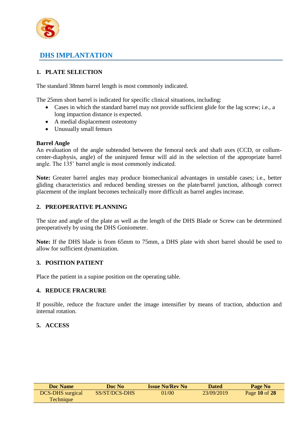

# **DHS IMPLANTATION**

## **1. PLATE SELECTION**

The standard 38mm barrel length is most commonly indicated.

The 25mm short barrel is indicated for specific clinical situations, including:

- Cases in which the standard barrel may not provide sufficient glide for the lag screw; i.e., a long impaction distance is expected.
- A medial displacement osteotomy
- Unusually small femurs

#### **Barrel Angle**

An evaluation of the angle subtended between the femoral neck and shaft axes (CCD, or collumcenter-diaphysis, angle) of the uninjured femur will aid in the selection of the appropriate barrel angle. The 135˚ barrel angle is most commonly indicated.

**Note:** Greater barrel angles may produce biomechanical advantages in unstable cases; i.e., better gliding characteristics and reduced bending stresses on the plate/barrel junction, although correct placement of the implant becomes technically more difficult as barrel angles increase.

#### **2. PREOPERATIVE PLANNING**

The size and angle of the plate as well as the length of the DHS Blade or Screw can be determined preoperatively by using the DHS Goniometer.

**Note:** If the DHS blade is from 65mm to 75mm, a DHS plate with short barrel should be used to allow for sufficient dynamization.

#### **3. POSITION PATIENT**

Place the patient in a supine position on the operating table.

#### **4. REDUCE FRACRURE**

If possible, reduce the fracture under the image intensifier by means of traction, abduction and internal rotation.

#### **5. ACCESS**

| Doc Name                | Doc No        | <b>Issue No/Rev No</b> | <b>Dated</b> | Page No       |
|-------------------------|---------------|------------------------|--------------|---------------|
| <b>DCS-DHS</b> surgical | SS/ST/DCS-DHS | 01/00                  | 23/09/2019   | Page 10 of 28 |
| Technique               |               |                        |              |               |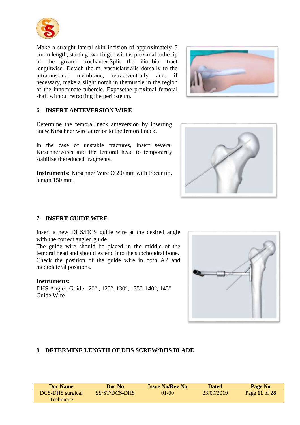

Make a straight lateral skin incision of approximately15 cm in length, starting two finger-widths proximal tothe tip of the greater trochanter.Split the iliotibial tract lengthwise. Detach the m. vastuslateralis dorsally to the intramuscular membrane, retractventrally and, if necessary, make a slight notch in themuscle in the region of the innominate tubercle. Exposethe proximal femoral shaft without retracting the periosteum.



#### **6. INSERT ANTEVERSION WIRE**

Determine the femoral neck anteversion by inserting anew Kirschner wire anterior to the femoral neck.

In the case of unstable fractures, insert several Kirschnerwires into the femoral head to temporarily stabilize thereduced fragments.

**Instruments:** Kirschner Wire Ø 2.0 mm with trocar tip, length 150 mm



#### **7. INSERT GUIDE WIRE**

Insert a new DHS/DCS guide wire at the desired angle with the correct angled guide.

The guide wire should be placed in the middle of the femoral head and should extend into the subchondral bone. Check the position of the guide wire in both AP and mediolateral positions.

#### **Instruments:**

DHS Angled Guide 120°, 125°, 130°, 135°, 140°, 145° Guide Wire



#### **8. DETERMINE LENGTH OF DHS SCREW/DHS BLADE**

| <b>Doc Name</b>         | Doc No        | <b>Issue No/Rev No</b> | <b>Dated</b> | Page No       |
|-------------------------|---------------|------------------------|--------------|---------------|
| <b>DCS-DHS</b> surgical | SS/ST/DCS-DHS | 01/00                  | 23/09/2019   | Page 11 of 28 |
| Technique               |               |                        |              |               |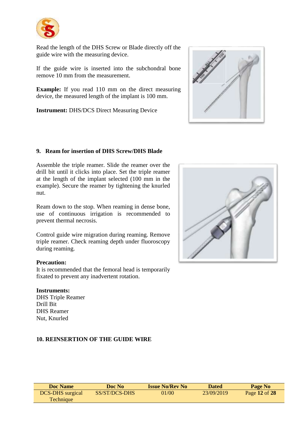

Read the length of the DHS Screw or Blade directly off the guide wire with the measuring device.

If the guide wire is inserted into the subchondral bone remove 10 mm from the measurement.

**Example:** If you read 110 mm on the direct measuring device, the measured length of the implant is 100 mm.

**Instrument:** DHS/DCS Direct Measuring Device



#### **9. Ream for insertion of DHS Screw/DHS Blade**

Assemble the triple reamer. Slide the reamer over the drill bit until it clicks into place. Set the triple reamer at the length of the implant selected (100 mm in the example). Secure the reamer by tightening the knurled nut.

Ream down to the stop. When reaming in dense bone, use of continuous irrigation is recommended to prevent thermal necrosis.

Control guide wire migration during reaming. Remove triple reamer. Check reaming depth under fluoroscopy during reaming.

#### **Precaution:**

It is recommended that the femoral head is temporarily fixated to prevent any inadvertent rotation.

#### **Instruments:**

DHS Triple Reamer Drill Bit DHS Reamer Nut, Knurled



#### **10. REINSERTION OF THE GUIDE WIRE**

| Doc Name                | Doc No        | <b>Issue No/Rev No</b> | <b>Dated</b> | Page No       |
|-------------------------|---------------|------------------------|--------------|---------------|
| <b>DCS-DHS</b> surgical | SS/ST/DCS-DHS | 01/00                  | 23/09/2019   | Page 12 of 28 |
| Technique               |               |                        |              |               |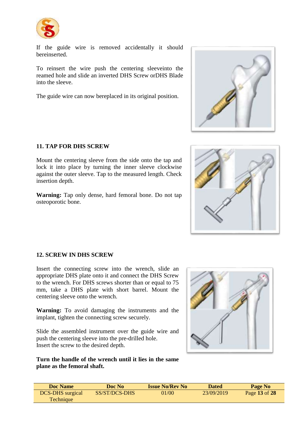

If the guide wire is removed accidentally it should bereinserted.

To reinsert the wire push the centering sleeveinto the reamed hole and slide an inverted DHS Screw orDHS Blade into the sleeve.

The guide wire can now bereplaced in its original position.



Mount the centering sleeve from the side onto the tap and lock it into place by turning the inner sleeve clockwise against the outer sleeve. Tap to the measured length. Check insertion depth.

**Warning:** Tap only dense, hard femoral bone. Do not tap osteoporotic bone.





#### **12. SCREW IN DHS SCREW**

Insert the connecting screw into the wrench, slide an appropriate DHS plate onto it and connect the DHS Screw to the wrench. For DHS screws shorter than or equal to 75 mm, take a DHS plate with short barrel. Mount the centering sleeve onto the wrench.

**Warning:** To avoid damaging the instruments and the implant, tighten the connecting screw securely.

Slide the assembled instrument over the guide wire and push the centering sleeve into the pre-drilled hole. Insert the screw to the desired depth.

**Turn the handle of the wrench until it lies in the same plane as the femoral shaft.**



| Doc Name                | Doc No        | <b>Issue No/Rev No</b> | <b>Dated</b> | Page No       |
|-------------------------|---------------|------------------------|--------------|---------------|
| <b>DCS-DHS</b> surgical | SS/ST/DCS-DHS | 01/00                  | 23/09/2019   | Page 13 of 28 |
| Technique               |               |                        |              |               |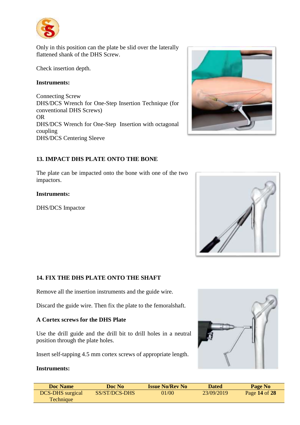

Only in this position can the plate be slid over the laterally flattened shank of the DHS Screw.

Check insertion depth.

#### **Instruments:**

Connecting Screw DHS/DCS Wrench for One-Step Insertion Technique (for conventional DHS Screws) OR DHS/DCS Wrench for One-Step Insertion with octagonal coupling DHS/DCS Centering Sleeve

#### **13. IMPACT DHS PLATE ONTO THE BONE**

The plate can be impacted onto the bone with one of the two impactors.

#### **Instruments:**

DHS/DCS Impactor





#### **14. FIX THE DHS PLATE ONTO THE SHAFT**

Remove all the insertion instruments and the guide wire.

Discard the guide wire. Then fix the plate to the femoralshaft.

#### **A Cortex screws for the DHS Plate**

Use the drill guide and the drill bit to drill holes in a neutral position through the plate holes.

Insert self-tapping 4.5 mm cortex screws of appropriate length.

#### **Instruments:**



| <b>Doc Name</b>         | Doc No        | <b>Issue No/Rev No</b> | <b>Dated</b> | Page No       |
|-------------------------|---------------|------------------------|--------------|---------------|
| <b>DCS-DHS</b> surgical | SS/ST/DCS-DHS | 01/00                  | 23/09/2019   | Page 14 of 28 |
| Technique               |               |                        |              |               |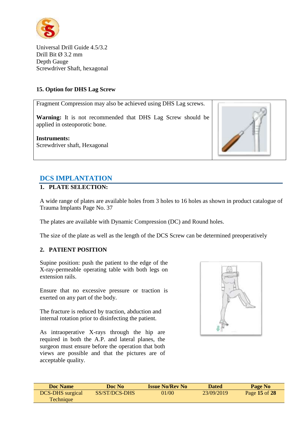

Universal Drill Guide 4.5/3.2 Drill Bit  $\varnothing$  3.2 mm Depth Gauge Screwdriver Shaft, hexagonal

#### **15. Option for DHS Lag Screw**

Fragment Compression may also be achieved using DHS Lag screws.

**Warning:** It is not recommended that DHS Lag Screw should be applied in osteoporotic bone.

**Instruments:**  Screwdriver shaft, Hexagonal



# **DCS IMPLANTATION**

#### **1. PLATE SELECTION:**

A wide range of plates are available holes from 3 holes to 16 holes as shown in product catalogue of Trauma Implants Page No. 37

The plates are available with Dynamic Compression (DC) and Round holes.

The size of the plate as well as the length of the DCS Screw can be determined preoperatively

#### **2. PATIENT POSITION**

Supine position: push the patient to the edge of the X-ray-permeable operating table with both legs on extension rails.

Ensure that no excessive pressure or traction is exerted on any part of the body.

The fracture is reduced by traction, abduction and internal rotation prior to disinfecting the patient.

As intraoperative X-rays through the hip are required in both the A.P. and lateral planes, the surgeon must ensure before the operation that both views are possible and that the pictures are of acceptable quality.



| <b>Doc Name</b>         | Doc No        | <b>Issue No/Rev No</b> | <b>Dated</b> | Page No       |
|-------------------------|---------------|------------------------|--------------|---------------|
| <b>DCS-DHS</b> surgical | SS/ST/DCS-DHS | 01/00                  | 23/09/2019   | Page 15 of 28 |
| Technique               |               |                        |              |               |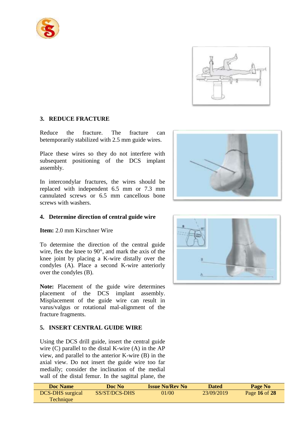



#### **3. REDUCE FRACTURE**

Reduce the fracture. The fracture can betemporarily stabilized with 2.5 mm guide wires.

Place these wires so they do not interfere with subsequent positioning of the DCS implant assembly.

In intercondylar fractures, the wires should be replaced with independent 6.5 mm or 7.3 mm cannulated screws or 6.5 mm cancellous bone screws with washers.

#### **4. Determine direction of central guide wire**

**Item:** 2.0 mm Kirschner Wire

To determine the direction of the central guide wire, flex the knee to 90°, and mark the axis of the knee joint by placing a K-wire distally over the condyles (A). Place a second K-wire anteriorly over the condyles (B).

**Note:** Placement of the guide wire determines placement of the DCS implant assembly. Misplacement of the guide wire can result in varus/valgus or rotational mal-alignment of the fracture fragments.

#### **5. INSERT CENTRAL GUIDE WIRE**

Using the DCS drill guide, insert the central guide wire (C) parallel to the distal K-wire (A) in the AP view, and parallel to the anterior K-wire (B) in the axial view. Do not insert the guide wire too far medially; consider the inclination of the medial wall of the distal femur. In the sagittal plane, the





| <b>Doc</b> Name         | Doc No        | <b>Issue No/Rev No</b> | <b>Dated</b> | Page No       |
|-------------------------|---------------|------------------------|--------------|---------------|
| <b>DCS-DHS</b> surgical | SS/ST/DCS-DHS | 01/00                  | 23/09/2019   | Page 16 of 28 |
| Technique               |               |                        |              |               |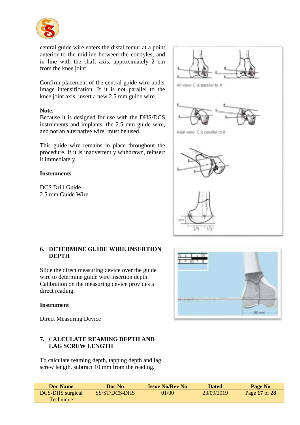

central guide wire enters the distal femur at a point anterior to the midline between the condyles, and in line with the shaft axis, approximately 2 cm from the knee joint.

Confirm placement of the central guide wire under image intensification. If it is not parallel to the knee joint axis, insert a new 2.5 mm guide wire.

#### **Note**:

Because it is designed for use with the DHS/DCS instruments and implants, the 2.5 mm guide wire, and not an alternative wire, must be used.

This guide wire remains in place throughout the procedure. If it is inadvertently withdrawn, reinsert it immediately.

#### **Instruments**

DCS Drill Guide 2.5 mm Guide Wire



#### **6. DETERMINE GUIDE WIRE INSERTION DEPTH**

Slide the direct measuring device over the guide wire to determine guide wire insertion depth. Calibration on the measuring device provides a direct reading.

#### **Instrument**

Direct Measuring Device

#### **7. CALCULATE REAMING DEPTH AND LAG SCREW LENGTH**

To calculate reaming depth, tapping depth and lag screw length, subtract 10 mm from the reading.



| <b>Doc Name</b>         | Doc No        | <b>Issue No/Rev No</b> | <b>Dated</b> | Page No       |
|-------------------------|---------------|------------------------|--------------|---------------|
| <b>DCS-DHS</b> surgical | SS/ST/DCS-DHS | 01/00                  | 23/09/2019   | Page 17 of 28 |
| <b>Technique</b>        |               |                        |              |               |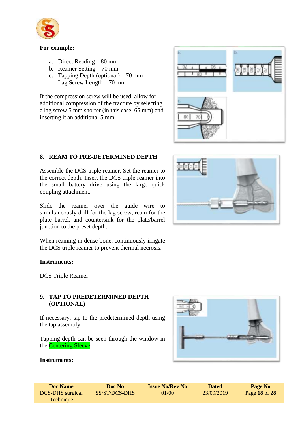

#### **For example:**

- a. Direct Reading 80 mm
- b. Reamer Setting 70 mm
- c. Tapping Depth (optional) 70 mm Lag Screw Length – 70 mm

If the compression screw will be used, allow for additional compression of the fracture by selecting a lag screw 5 mm shorter (in this case, 65 mm) and inserting it an additional 5 mm.



#### **8. REAM TO PRE-DETERMINED DEPTH**

Assemble the DCS triple reamer. Set the reamer to the correct depth. Insert the DCS triple reamer into the small battery drive using the large quick coupling attachment.

Slide the reamer over the guide wire to simultaneously drill for the lag screw, ream for the plate barrel, and countersink for the plate/barrel junction to the preset depth.

When reaming in dense bone, continuously irrigate the DCS triple reamer to prevent thermal necrosis.

#### **Instruments:**

DCS Triple Reamer

#### **9. TAP TO PREDETERMINED DEPTH (OPTIONAL)**

If necessary, tap to the predetermined depth using the tap assembly.

Tapping depth can be seen through the window in the Centering Sleeve.



#### **Instruments:**

| <b>Doc Name</b>         | Doc No        | <b>Issue No/Rev No</b> | Dated      | Page No       |
|-------------------------|---------------|------------------------|------------|---------------|
| <b>DCS-DHS</b> surgical | SS/ST/DCS-DHS | 01/00                  | 23/09/2019 | Page 18 of 28 |
| Technique               |               |                        |            |               |

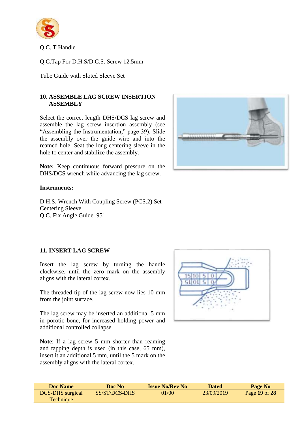

Q.C. T Handle

Q.C.Tap For D.H.S/D.C.S. Screw 12.5mm

Tube Guide with Sloted Sleeve Set

#### **10. ASSEMBLE LAG SCREW INSERTION ASSEMBLY**

Select the correct length DHS/DCS lag screw and assemble the lag screw insertion assembly (see "Assembling the Instrumentation," page 39). Slide the assembly over the guide wire and into the reamed hole. Seat the long centering sleeve in the hole to center and stabilize the assembly.

**Note:** Keep continuous forward pressure on the DHS/DCS wrench while advancing the lag screw.



#### **Instruments:**

D.H.S. Wrench With Coupling Screw (PCS.2) Set Centering Sleeve Q.C. Fix Angle Guide 95'

#### **11. INSERT LAG SCREW**

Insert the lag screw by turning the handle clockwise, until the zero mark on the assembly aligns with the lateral cortex.

The threaded tip of the lag screw now lies 10 mm from the joint surface.

The lag screw may be inserted an additional 5 mm in porotic bone, for increased holding power and additional controlled collapse.

**Note**: If a lag screw 5 mm shorter than reaming and tapping depth is used (in this case, 65 mm), insert it an additional 5 mm, until the 5 mark on the assembly aligns with the lateral cortex.



| Doc Name                | Doc No        | <b>Issue No/Rev No</b> | <b>Dated</b> | Page No       |
|-------------------------|---------------|------------------------|--------------|---------------|
| <b>DCS-DHS</b> surgical | SS/ST/DCS-DHS | 01/00                  | 23/09/2019   | Page 19 of 28 |
| Technique               |               |                        |              |               |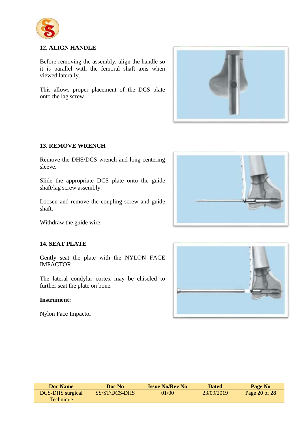

#### **12. ALIGN HANDLE**

Before removing the assembly, align the handle so it is parallel with the femoral shaft axis when viewed laterally.

This allows proper placement of the DCS plate onto the lag screw.



#### **13. REMOVE WRENCH**

Remove the DHS/DCS wrench and long centering sleeve.

Slide the appropriate DCS plate onto the guide shaft/lag screw assembly.

Loosen and remove the coupling screw and guide shaft.



Withdraw the guide wire.

#### **14. SEAT PLATE**

Gently seat the plate with the NYLON FACE IMPACTOR.

The lateral condylar cortex may be chiseled to further seat the plate on bone.

#### **Instrument:**

Nylon Face Impactor



| <b>Doc Name</b>         | Doc No               | <b>Issue No/Rev No</b> | <b>Dated</b> | Page No       |
|-------------------------|----------------------|------------------------|--------------|---------------|
| <b>DCS-DHS</b> surgical | <b>SS/ST/DCS-DHS</b> | 01/00                  | 23/09/2019   | Page 20 of 28 |
| <b>Technique</b>        |                      |                        |              |               |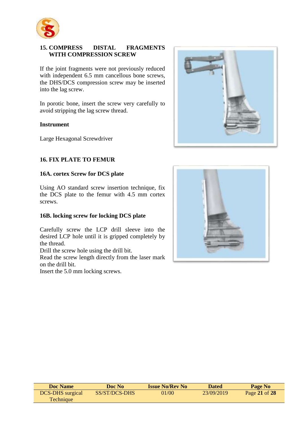

#### **15. COMPRESS DISTAL FRAGMENTS WITH COMPRESSION SCREW**

If the joint fragments were not previously reduced with independent 6.5 mm cancellous bone screws, the DHS/DCS compression screw may be inserted into the lag screw.

In porotic bone, insert the screw very carefully to avoid stripping the lag screw thread.

#### **Instrument**

Large Hexagonal Screwdriver

#### **16. FIX PLATE TO FEMUR**

#### **16A. cortex Screw for DCS plate**

Using AO standard screw insertion technique, fix the DCS plate to the femur with 4.5 mm cortex screws.

#### **16B. locking screw for locking DCS plate**

Carefully screw the LCP drill sleeve into the desired LCP hole until it is gripped completely by the thread.

Drill the screw hole using the drill bit.

Read the screw length directly from the laser mark on the drill bit.

Insert the 5.0 mm locking screws.





| <b>Doc Name</b>         | Doc No        | <b>Issue No/Rev No</b> | Dated      | Page No       |
|-------------------------|---------------|------------------------|------------|---------------|
| <b>DCS-DHS</b> surgical | SS/ST/DCS-DHS | 01/00                  | 23/09/2019 | Page 21 of 28 |
| <b>Technique</b>        |               |                        |            |               |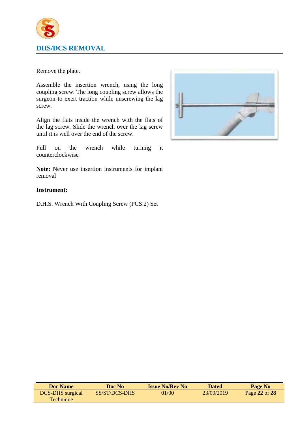

Remove the plate.

Assemble the insertion wrench, using the long coupling screw. The long coupling screw allows the surgeon to exert traction while unscrewing the lag screw.

Align the flats inside the wrench with the flats of the lag screw. Slide the wrench over the lag screw until it is well over the end of the screw.

Pull on the wrench while turning it counterclockwise.

**Note:** Never use insertion instruments for implant removal

#### **Instrument:**

D.H.S. Wrench With Coupling Screw (PCS.2) Set



| <b>Doc Name</b>         | Doc No        | <b>Issue No/Rev No</b> | <b>Dated</b> | Page No       |
|-------------------------|---------------|------------------------|--------------|---------------|
| <b>DCS-DHS</b> surgical | SS/ST/DCS-DHS | 01/00                  | 23/09/2019   | Page 22 of 28 |
| Technique               |               |                        |              |               |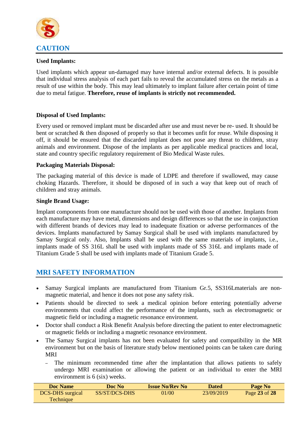

#### **Used Implants:**

Used implants which appear un-damaged may have internal and/or external defects. It is possible that individual stress analysis of each part fails to reveal the accumulated stress on the metals as a result of use within the body. This may lead ultimately to implant failure after certain point of time due to metal fatigue. **Therefore, reuse of implants is strictly not recommended.**

#### **Disposal of Used Implants:**

Every used or removed implant must be discarded after use and must never be re- used. It should be bent or scratched & then disposed of properly so that it becomes unfit for reuse. While disposing it off, it should be ensured that the discarded implant does not pose any threat to children, stray animals and environment. Dispose of the implants as per applicable medical practices and local, state and country specific regulatory requirement of Bio Medical Waste rules.

#### **Packaging Materials Disposal:**

The packaging material of this device is made of LDPE and therefore if swallowed, may cause choking Hazards. Therefore, it should be disposed of in such a way that keep out of reach of children and stray animals.

#### **Single Brand Usage:**

Implant components from one manufacture should not be used with those of another. Implants from each manufacture may have metal, dimensions and design differences so that the use in conjunction with different brands of devices may lead to inadequate fixation or adverse performances of the devices. Implants manufactured by Samay Surgical shall be used with implants manufactured by Samay Surgical only. Also, Implants shall be used with the same materials of implants, i.e., implants made of SS 316L shall be used with implants made of SS 316L and implants made of Titanium Grade 5 shall be used with implants made of Titanium Grade 5.

#### **MRI SAFETY INFORMATION**

- Samay Surgical implants are manufactured from Titanium Gr.5, SS316Lmaterials are nonmagnetic material, and hence it does not pose any safety risk.
- Patients should be directed to seek a medical opinion before entering potentially adverse environments that could affect the performance of the implants, such as electromagnetic or magnetic field or including a magnetic resonance environment.
- Doctor shall conduct a Risk Benefit Analysis before directing the patient to enter electromagnetic or magnetic fields or including a magnetic resonance environment.
- The Samay Surgical implants has not been evaluated for safety and compatibility in the MR environment but on the basis of literature study below mentioned points can be taken care during MRI
	- The minimum recommended time after the implantation that allows patients to safely undergo MRI examination or allowing the patient or an individual to enter the MRI environment is 6 (six) weeks.

| Doc Name                | Doc No        | <b>Issue No/Rev No</b> | <b>Dated</b> | Page No       |
|-------------------------|---------------|------------------------|--------------|---------------|
| <b>DCS-DHS</b> surgical | SS/ST/DCS-DHS | 01/00                  | 23/09/2019   | Page 23 of 28 |
| Technique               |               |                        |              |               |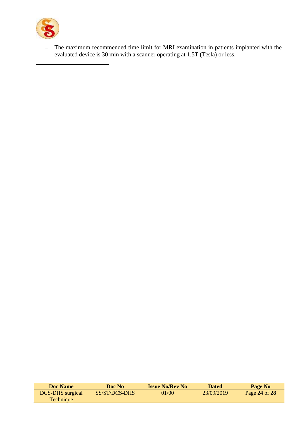

– The maximum recommended time limit for MRI examination in patients implanted with the evaluated device is 30 min with a scanner operating at 1.5T (Tesla) or less.

| <b>Doc Name</b>         | Doc No        | <b>Issue No/Rev No</b> | Dated      | Page No       |
|-------------------------|---------------|------------------------|------------|---------------|
| <b>DCS-DHS</b> surgical | SS/ST/DCS-DHS | 01/00                  | 23/09/2019 | Page 24 of 28 |
| <b>Technique</b>        |               |                        |            |               |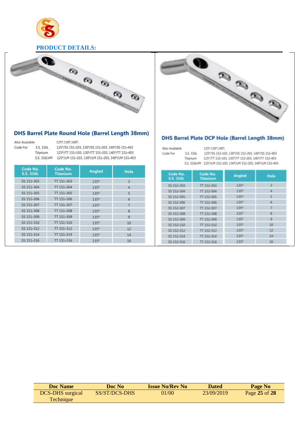

#### **PRODUCT DETAILS:**



#### DHS Barrel Plate Round Hole (Barrel Length 38mm)

| Also Available |          |
|----------------|----------|
| ode For        | S. 3161  |
|                | Titanium |
|                |          |

125°,130°,140°, 125°/SS 151-103, 130°/SS 151-203, 140°/SS 151-403

125°/TT 151-103, 130°/TT 151-203, 140°/TT 151-403

316LVM 125°/LM 151-103, 130°/LM 151-203, 140°/LM 151-403

| Code No.<br><b>S.S. 316L</b> | Code No.<br><b>Titanium</b> | <b>Angled</b> |                |
|------------------------------|-----------------------------|---------------|----------------|
| SS 151-303                   | TT 151-303                  | 135°          | 3              |
| SS 151-304                   | TT 151-304                  | 135°          | 4              |
| SS 151-305                   | TT 151-305                  | 1350          | S              |
| SS 151-306                   | TT 151-306                  | 135°          | 6              |
| SS 151-307                   | TT 151-307                  | 1350          | 7              |
| SS 151-308                   | TT 151-308                  | 135°          | 8              |
| SS 151-309                   | TT 151-309                  | 1350          | $\overline{9}$ |
| SS 151-310                   | TT 151-310                  | 135°          | 10             |
| SS 151-312                   | TT 151-312                  | 135°          | 12             |
| SS 151-314                   | TT 151-314                  | 135%          | 14             |
| SS 151-316                   | TT 151-316                  | $135^\circ$   | 16             |



#### DHS Barrel Plate DCP Hole (Barrel Length 38mm)

| Also Available |           | 125° 130° 140°.                                              |
|----------------|-----------|--------------------------------------------------------------|
| Code For       | S.S. 316L | 125°/55 152-103, 130°/55 152-203, 140°/55 152-403            |
|                | Titanium  | 125°/TT 152-103, 130°/TT 152-203, 140°/TT 152-403            |
|                |           | 5.5.316LVM 125°/LM 152-103, 130°/LM 152-203, 140°/LM 152-403 |

| Code No.<br><b>5.5.316L</b> | Code No.<br>Titanium | <b>Angled</b>    | <b>Hole</b> |
|-----------------------------|----------------------|------------------|-------------|
| \$\$ 152-303                | TT 152-303           | 135*             |             |
| \$\$ 152-304                | TT 152-304           | 135*             | a           |
| 55 152-305                  | TT 152-305           | 135*             | 5           |
| 55 152-306                  | TT 152-306           | 135 <sup>*</sup> | 石           |
| 55 152-307                  | TT-152-307           | 135*             |             |
| 55 152-308                  | TT 152-308           | 135°             | 因           |
| SS 152-309                  | TT 152-309           | 135*             | ٠           |
| 55 152-310                  | TT 152-310           | 135 <sup>m</sup> | 10          |
| \$\$ 152-312                | TT 152-312           | 135*             | 12          |
| 55 152-314                  | TT 152-314           | 135 <sup>n</sup> | 14          |
| 55 152-316                  | TT 152-316           | 135 <sup>e</sup> | 16          |

| <b>Doc Name</b>         | Doc No        | <b>Issue No/Rev No</b> | <b>Dated</b> | Page No       |
|-------------------------|---------------|------------------------|--------------|---------------|
| <b>DCS-DHS</b> surgical | SS/ST/DCS-DHS | 01/00                  | 23/09/2019   | Page 25 of 28 |
| <b>Technique</b>        |               |                        |              |               |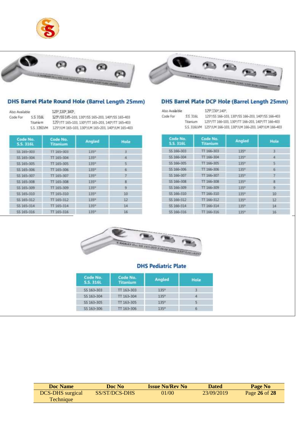





#### DHS Barrel Plate Round Hole (Barrel Length 25mm)

Also Available Code For 55316L Titatium

125°,130°,140°, 1299/SS165-103, 1309/SS 165-203, 1409/SS 165-403 125°/TT 165-103, 130°/TT 165-203, 140°/TT 165-403 S.S. 336LVM 125"/LM 165-103, 130"/LM 165-203, 140"/LM 165-403

| Code No.<br><b>S.S. 316L</b> | Code No.<br><b>Titanium</b> | Angled           | Hole |
|------------------------------|-----------------------------|------------------|------|
| 55 165-303                   | 11 165-303                  | 135 <sup>*</sup> | 3    |
| \$\$ 165-304                 | TT 165-304                  | 135 <sup>0</sup> | ×    |
| SS 165-305                   | TT 165-305                  | 135°             | 5    |
| \$\$ 165-306                 | TT 165-306                  | 135°             | 6    |
| \$\$ 165-307                 | TT 165-307                  | 135°             | 7    |
| \$\$ 165-308                 | TT 165-308                  | 335 <sup>e</sup> | s    |
| \$\$ 165-309                 | TT 165-309                  | 135 <sup>*</sup> | 9    |
| \$\$165-310                  | TT 165-310                  | 135 <sup>0</sup> | 10   |
| SS 165-312                   | TT 165-312                  | 135 <sup>0</sup> | 12   |
| SS 165-314                   | TT 165-314                  | $135*$           | 14   |
| SS 165-316                   | TT 165-316                  | 135°             | 16   |

# DHS Barrel Plate DCP Hole (Barrel Length 25mm)

Also Avaia ble Code For S.S. 316L 125°,130°,140°,

125°/SS 166-103, 130°/SS 166-203, 140°/SS 166-403 Titanium 125°/17 166-103, 130°/17 166-203, 140°/17 166-403 S.S. 316LVM 125°/LM 166-103, 130°/LM 166-203, 140°/LM 166-403

| Code No.<br><b>5.5.316L</b> | Code No.<br>Titanium | <b>Angled</b>    | Hote           |
|-----------------------------|----------------------|------------------|----------------|
| SS 166-303                  | TT 166-303           | 135 <sup>e</sup> | $\overline{3}$ |
| \$\$ 166-304                | TT 166-304           | 135 <sup>e</sup> |                |
| SS 166-305                  | TT 166-305           | 135°             |                |
| SS 166-306                  | TT 166-306           | 135°             | 6              |
| SS 166-307                  | TT 166-307           | 135°             |                |
| SS 166-30B                  | TT 166-308           | 1350             | B.             |
| \$5 166-309                 | TT 166-309           | 135°             | 9              |
| SS 166-310                  | TT 166-310           | 135°             | $10-$          |
| SS 166-312                  | TT 166-312           | 135°             | 12             |
| SS 166-314                  | TT 166-314           | 135°             | 14             |
| SS 166-316                  | TT 166-316           | 135°             | 16             |



#### **DHS Pediatric Plate**

| Code No.<br>S.S. 3161 | Code No.<br><b>Titanium</b> | <b>Angled</b> | Hole |
|-----------------------|-----------------------------|---------------|------|
| SS 163-303            | TT 163-303                  | 1350          | З    |
| SS 163-304            | TT 163-304                  | 135%          | A    |
| \$\$163-305           | TT 163-305                  | 135%          | 5    |
| 55 163-306            | TT 163-306                  | 135°          | 6    |

| <b>Doc Name</b>         | Doc No        | <b>Issue No/Rev No</b> | <b>Dated</b> | Page No       |
|-------------------------|---------------|------------------------|--------------|---------------|
| <b>DCS-DHS</b> surgical | SS/ST/DCS-DHS | 01/00                  | 23/09/2019   | Page 26 of 28 |
| <b>Technique</b>        |               |                        |              |               |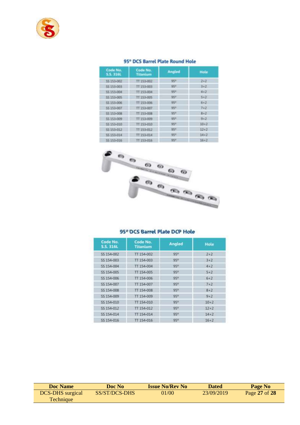

#### 95° DCS Barrel Plate Round Hole

| Code No.<br><b>S.S. 316L</b> | Code No.<br><b>Angled</b><br><b>Titanium</b> |                 | <b>Hole</b> |
|------------------------------|----------------------------------------------|-----------------|-------------|
| \$\$153-002                  | TT 153-002                                   | 95%             | $2 - 7$     |
| 55 153-003                   | TT 153-003                                   | 95*             | $3+2$       |
| 55 153-004                   | TT 153-004                                   | 95*             | $4 + 7$     |
| 55 153-005                   | TT 153-005                                   | 95*             | $5+2$       |
| 55 153-006                   | TT 153-006                                   | ggitt           | $6 + 2$     |
| 55 153-007                   | TT 153-007                                   | 95*             | $7 + 2$     |
| 55 153-008                   | <b>TT 153-008</b>                            | 95%             | $B+2$       |
| SS 153-009                   | TT 153-009                                   | 95%             | $9+2$       |
| \$\$ 153-010                 | TT 153-010                                   | 95*             | $10 + 7$    |
| 55 153-012                   | TT 153-012                                   | 95 <sup>h</sup> | $12+2$      |
| 55 153-014                   | TT 153-014                                   | 95*             | 14.2        |
| 55 153-016                   | TT 153-016                                   | 95*             | $16 + 2$    |



#### 95° DCS Barrel Plate DCP Hole

| Code No.<br><b>S.S. 316L</b> | Code No.<br><b>Titanium</b> | Angled          | Hole     |
|------------------------------|-----------------------------|-----------------|----------|
| SS-154-002                   | TT 154-002                  | 95 <sup>n</sup> | $2 + 2$  |
| SS 154-003                   | TT 154-003                  | 959             | $3 + 2$  |
| SS 154-004                   | TT 154-004                  | 95°             | $4 + 2$  |
| 55 154-005                   | TT 154-005                  | 95°             | $5 + 2$  |
| SS 154-006                   | TT 154-006                  | 95°             | $6 + 2$  |
| SS 154-007                   | TT 154-007                  | 950             | $7 + 2$  |
| SS 154-008                   | TT 154-008                  | 95%             | $8 + 2$  |
| 55 154-009                   | TT 154-009                  | 95%             | $9 + 2$  |
| SS 154-010                   | TT 154-010                  | $95^\circ$      | $10+2$   |
| SS 154-012                   | TT 154-012                  | 950             | $12+2$   |
| SS 154-014                   | TT 154-014                  | 950             | $14 + 2$ |
| 55 154-016                   | TT 154-016                  | $95^\circ$      | $16 + 2$ |

| <b>Doc Name</b>         | Doc No        | <b>Issue No/Rev No</b> | <b>Dated</b> | Page No       |
|-------------------------|---------------|------------------------|--------------|---------------|
| <b>DCS-DHS</b> surgical | SS/ST/DCS-DHS | 01/00                  | 23/09/2019   | Page 27 of 28 |
| Technique               |               |                        |              |               |